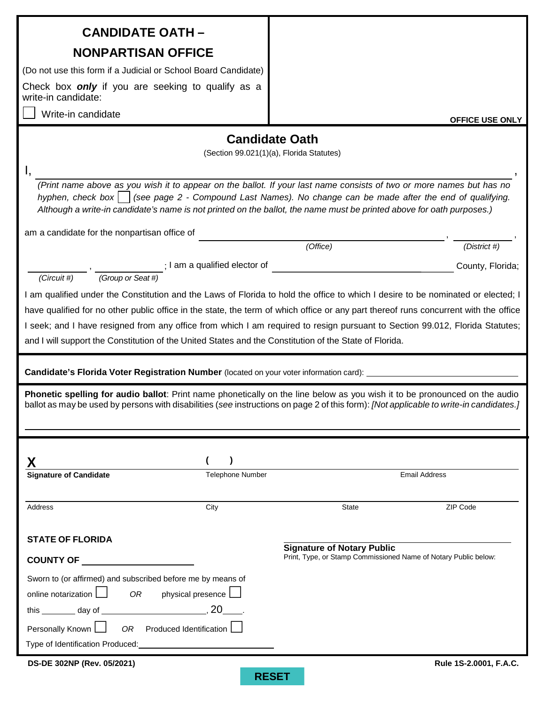| <b>CANDIDATE OATH -</b>                                                                                                                                                                                                                                                                                                                                                                                                                                                                                                                                                                                                                                                                                                                           |                                                                                                      |  |  |  |  |
|---------------------------------------------------------------------------------------------------------------------------------------------------------------------------------------------------------------------------------------------------------------------------------------------------------------------------------------------------------------------------------------------------------------------------------------------------------------------------------------------------------------------------------------------------------------------------------------------------------------------------------------------------------------------------------------------------------------------------------------------------|------------------------------------------------------------------------------------------------------|--|--|--|--|
|                                                                                                                                                                                                                                                                                                                                                                                                                                                                                                                                                                                                                                                                                                                                                   |                                                                                                      |  |  |  |  |
| <b>NONPARTISAN OFFICE</b>                                                                                                                                                                                                                                                                                                                                                                                                                                                                                                                                                                                                                                                                                                                         |                                                                                                      |  |  |  |  |
| (Do not use this form if a Judicial or School Board Candidate)                                                                                                                                                                                                                                                                                                                                                                                                                                                                                                                                                                                                                                                                                    |                                                                                                      |  |  |  |  |
| Check box <b>only</b> if you are seeking to qualify as a<br>write-in candidate:                                                                                                                                                                                                                                                                                                                                                                                                                                                                                                                                                                                                                                                                   |                                                                                                      |  |  |  |  |
| Write-in candidate                                                                                                                                                                                                                                                                                                                                                                                                                                                                                                                                                                                                                                                                                                                                | <b>OFFICE USE ONLY</b>                                                                               |  |  |  |  |
|                                                                                                                                                                                                                                                                                                                                                                                                                                                                                                                                                                                                                                                                                                                                                   | <b>Candidate Oath</b>                                                                                |  |  |  |  |
|                                                                                                                                                                                                                                                                                                                                                                                                                                                                                                                                                                                                                                                                                                                                                   | (Section 99.021(1)(a), Florida Statutes)                                                             |  |  |  |  |
|                                                                                                                                                                                                                                                                                                                                                                                                                                                                                                                                                                                                                                                                                                                                                   |                                                                                                      |  |  |  |  |
| (Print name above as you wish it to appear on the ballot. If your last name consists of two or more names but has no<br>hyphen, check box     (see page 2 - Compound Last Names). No change can be made after the end of qualifying.<br>Although a write-in candidate's name is not printed on the ballot, the name must be printed above for oath purposes.)                                                                                                                                                                                                                                                                                                                                                                                     |                                                                                                      |  |  |  |  |
| am a candidate for the nonpartisan office of                                                                                                                                                                                                                                                                                                                                                                                                                                                                                                                                                                                                                                                                                                      |                                                                                                      |  |  |  |  |
|                                                                                                                                                                                                                                                                                                                                                                                                                                                                                                                                                                                                                                                                                                                                                   | (District #)<br>(Office)                                                                             |  |  |  |  |
| $\frac{1}{(Group\ or\ Seat\#)}$ : I am a qualified elector of $\frac{1}{(Group\ or\ Seat\#)}$<br>(Circuit #)                                                                                                                                                                                                                                                                                                                                                                                                                                                                                                                                                                                                                                      | County, Florida;                                                                                     |  |  |  |  |
| have qualified for no other public office in the state, the term of which office or any part thereof runs concurrent with the office<br>I seek; and I have resigned from any office from which I am required to resign pursuant to Section 99.012, Florida Statutes;<br>and I will support the Constitution of the United States and the Constitution of the State of Florida.<br>Candidate's Florida Voter Registration Number (located on your voter information card):<br>Phonetic spelling for audio ballot: Print name phonetically on the line below as you wish it to be pronounced on the audio<br>ballot as may be used by persons with disabilities (see instructions on page 2 of this form): [Not applicable to write-in candidates.] |                                                                                                      |  |  |  |  |
| <b>Signature of Candidate</b><br>Telephone Number                                                                                                                                                                                                                                                                                                                                                                                                                                                                                                                                                                                                                                                                                                 | <b>Email Address</b>                                                                                 |  |  |  |  |
|                                                                                                                                                                                                                                                                                                                                                                                                                                                                                                                                                                                                                                                                                                                                                   |                                                                                                      |  |  |  |  |
| City<br>Address                                                                                                                                                                                                                                                                                                                                                                                                                                                                                                                                                                                                                                                                                                                                   | ZIP Code<br>State                                                                                    |  |  |  |  |
| <b>STATE OF FLORIDA</b><br><b>COUNTY OF</b>                                                                                                                                                                                                                                                                                                                                                                                                                                                                                                                                                                                                                                                                                                       | <b>Signature of Notary Public</b><br>Print, Type, or Stamp Commissioned Name of Notary Public below: |  |  |  |  |
| <u> 1980 - Johann Barbara, martin a</u>                                                                                                                                                                                                                                                                                                                                                                                                                                                                                                                                                                                                                                                                                                           |                                                                                                      |  |  |  |  |
| Sworn to (or affirmed) and subscribed before me by means of<br>online notarization $\Box$<br>OR<br>physical presence                                                                                                                                                                                                                                                                                                                                                                                                                                                                                                                                                                                                                              |                                                                                                      |  |  |  |  |
|                                                                                                                                                                                                                                                                                                                                                                                                                                                                                                                                                                                                                                                                                                                                                   |                                                                                                      |  |  |  |  |
| Personally Known [<br>OR Produced Identification [                                                                                                                                                                                                                                                                                                                                                                                                                                                                                                                                                                                                                                                                                                |                                                                                                      |  |  |  |  |
|                                                                                                                                                                                                                                                                                                                                                                                                                                                                                                                                                                                                                                                                                                                                                   |                                                                                                      |  |  |  |  |
| DS-DE 302NP (Rev. 05/2021)                                                                                                                                                                                                                                                                                                                                                                                                                                                                                                                                                                                                                                                                                                                        | Rule 1S-2.0001, F.A.C.                                                                               |  |  |  |  |
|                                                                                                                                                                                                                                                                                                                                                                                                                                                                                                                                                                                                                                                                                                                                                   | <b>RESET</b>                                                                                         |  |  |  |  |